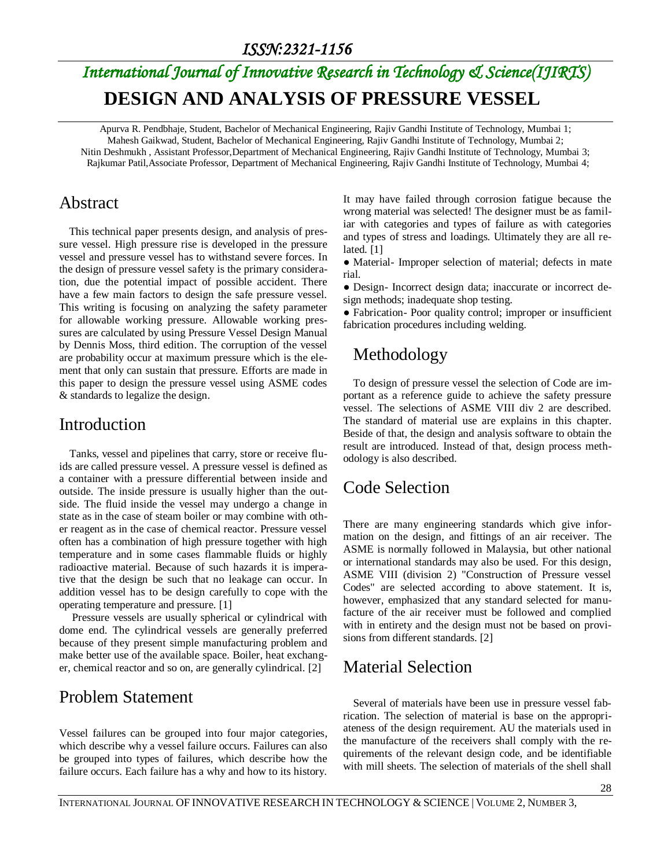#### *ISSN:2321-1156*

# *International Journal of Innovative Research in Technology & Science(IJIRTS)* **DESIGN AND ANALYSIS OF PRESSURE VESSEL**

Apurva R. Pendbhaje, Student, Bachelor of Mechanical Engineering, Rajiv Gandhi Institute of Technology, Mumbai 1; Mahesh Gaikwad, Student, Bachelor of Mechanical Engineering, Rajiv Gandhi Institute of Technology, Mumbai 2; Nitin Deshmukh , Assistant Professor,Department of Mechanical Engineering, Rajiv Gandhi Institute of Technology, Mumbai 3; Rajkumar Patil,Associate Professor, Department of Mechanical Engineering, Rajiv Gandhi Institute of Technology, Mumbai 4;

#### Abstract

This technical paper presents design, and analysis of pressure vessel. High pressure rise is developed in the pressure vessel and pressure vessel has to withstand severe forces. In the design of pressure vessel safety is the primary consideration, due the potential impact of possible accident. There have a few main factors to design the safe pressure vessel. This writing is focusing on analyzing the safety parameter for allowable working pressure. Allowable working pressures are calculated by using Pressure Vessel Design Manual by Dennis Moss, third edition. The corruption of the vessel are probability occur at maximum pressure which is the element that only can sustain that pressure. Efforts are made in this paper to design the pressure vessel using ASME codes & standards to legalize the design.

#### Introduction

Tanks, vessel and pipelines that carry, store or receive fluids are called pressure vessel. A pressure vessel is defined as a container with a pressure differential between inside and outside. The inside pressure is usually higher than the outside. The fluid inside the vessel may undergo a change in state as in the case of steam boiler or may combine with other reagent as in the case of chemical reactor. Pressure vessel often has a combination of high pressure together with high temperature and in some cases flammable fluids or highly radioactive material. Because of such hazards it is imperative that the design be such that no leakage can occur. In addition vessel has to be design carefully to cope with the operating temperature and pressure. [1]

Pressure vessels are usually spherical or cylindrical with dome end. The cylindrical vessels are generally preferred because of they present simple manufacturing problem and make better use of the available space. Boiler, heat exchanger, chemical reactor and so on, are generally cylindrical. [2]

#### Problem Statement

Vessel failures can be grouped into four major categories, which describe why a vessel failure occurs. Failures can also be grouped into types of failures, which describe how the failure occurs. Each failure has a why and how to its history. It may have failed through corrosion fatigue because the wrong material was selected! The designer must be as familiar with categories and types of failure as with categories and types of stress and loadings. Ultimately they are all related. [1]

● Material- Improper selection of material; defects in mate rial.

● Design- Incorrect design data; inaccurate or incorrect design methods; inadequate shop testing.

● Fabrication- Poor quality control; improper or insufficient fabrication procedures including welding.

## Methodology

To design of pressure vessel the selection of Code are important as a reference guide to achieve the safety pressure vessel. The selections of ASME VIII div 2 are described. The standard of material use are explains in this chapter. Beside of that, the design and analysis software to obtain the result are introduced. Instead of that, design process methodology is also described.

## Code Selection

There are many engineering standards which give information on the design, and fittings of an air receiver. The ASME is normally followed in Malaysia, but other national or international standards may also be used. For this design, ASME VIII (division 2) "Construction of Pressure vessel Codes" are selected according to above statement. It is, however, emphasized that any standard selected for manufacture of the air receiver must be followed and complied with in entirety and the design must not be based on provisions from different standards. [2]

## Material Selection

Several of materials have been use in pressure vessel fabrication. The selection of material is base on the appropriateness of the design requirement. AU the materials used in the manufacture of the receivers shall comply with the requirements of the relevant design code, and be identifiable with mill sheets. The selection of materials of the shell shall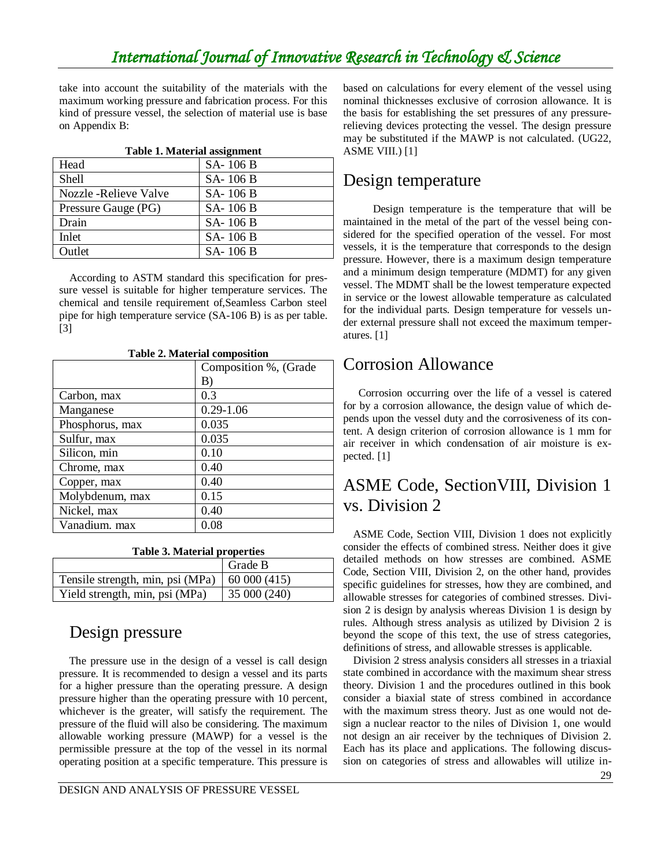## *International Journal of Innovative Research in Technology & Science*

take into account the suitability of the materials with the maximum working pressure and fabrication process. For this kind of pressure vessel, the selection of material use is base on Appendix B:

| <b>Table 1. Material assignment</b> |          |  |  |  |  |  |  |
|-------------------------------------|----------|--|--|--|--|--|--|
| Head                                | SA-106B  |  |  |  |  |  |  |
| Shell                               | SA-106 B |  |  |  |  |  |  |
| Nozzle - Relieve Valve              | SA-106B  |  |  |  |  |  |  |
| Pressure Gauge (PG)                 | SA-106 B |  |  |  |  |  |  |
| Drain                               | SA-106 B |  |  |  |  |  |  |
| Inlet                               | SA-106 B |  |  |  |  |  |  |
| Outlet                              | SA-106 B |  |  |  |  |  |  |

According to ASTM standard this specification for pressure vessel is suitable for higher temperature services. The chemical and tensile requirement of,Seamless Carbon steel pipe for high temperature service (SA-106 B) is as per table. [3]

| raone 2. Matematic composition |                       |  |  |  |  |  |
|--------------------------------|-----------------------|--|--|--|--|--|
|                                | Composition %, (Grade |  |  |  |  |  |
|                                | B)                    |  |  |  |  |  |
| Carbon, max                    | 0.3                   |  |  |  |  |  |
| Manganese                      | $0.29 - 1.06$         |  |  |  |  |  |
| Phosphorus, max                | 0.035                 |  |  |  |  |  |
| Sulfur, max                    | 0.035                 |  |  |  |  |  |
| Silicon, min                   | 0.10                  |  |  |  |  |  |
| Chrome, max                    | 0.40                  |  |  |  |  |  |
| Copper, max                    | 0.40                  |  |  |  |  |  |
| Molybdenum, max                | 0.15                  |  |  |  |  |  |
| Nickel, max                    | 0.40                  |  |  |  |  |  |
| Vanadium. max                  | 0.08                  |  |  |  |  |  |

**Table 2. Material composition**

**Table 3. Material properties**

|                                  | Grade B      |
|----------------------------------|--------------|
| Tensile strength, min, psi (MPa) | 60000(415)   |
| Yield strength, min, psi (MPa)   | 35 000 (240) |

## Design pressure

The pressure use in the design of a vessel is call design pressure. It is recommended to design a vessel and its parts for a higher pressure than the operating pressure. A design pressure higher than the operating pressure with 10 percent, whichever is the greater, will satisfy the requirement. The pressure of the fluid will also be considering. The maximum allowable working pressure (MAWP) for a vessel is the permissible pressure at the top of the vessel in its normal operating position at a specific temperature. This pressure is based on calculations for every element of the vessel using nominal thicknesses exclusive of corrosion allowance. It is the basis for establishing the set pressures of any pressurerelieving devices protecting the vessel. The design pressure may be substituted if the MAWP is not calculated. (UG22, ASME VIII.) [1]

#### Design temperature

Design temperature is the temperature that will be maintained in the metal of the part of the vessel being considered for the specified operation of the vessel. For most vessels, it is the temperature that corresponds to the design pressure. However, there is a maximum design temperature and a minimum design temperature (MDMT) for any given vessel. The MDMT shall be the lowest temperature expected in service or the lowest allowable temperature as calculated for the individual parts. Design temperature for vessels under external pressure shall not exceed the maximum temperatures. [1]

#### Corrosion Allowance

 Corrosion occurring over the life of a vessel is catered for by a corrosion allowance, the design value of which depends upon the vessel duty and the corrosiveness of its content. A design criterion of corrosion allowance is 1 mm for air receiver in which condensation of air moisture is expected. [1]

## ASME Code, SectionVIII, Division 1 vs. Division 2

ASME Code, Section VIII, Division 1 does not explicitly consider the effects of combined stress. Neither does it give detailed methods on how stresses are combined. ASME Code, Section VIII, Division 2, on the other hand, provides specific guidelines for stresses, how they are combined, and allowable stresses for categories of combined stresses. Division 2 is design by analysis whereas Division 1 is design by rules. Although stress analysis as utilized by Division 2 is beyond the scope of this text, the use of stress categories, definitions of stress, and allowable stresses is applicable.

Division 2 stress analysis considers all stresses in a triaxial state combined in accordance with the maximum shear stress theory. Division 1 and the procedures outlined in this book consider a biaxial state of stress combined in accordance with the maximum stress theory. Just as one would not design a nuclear reactor to the niles of Division 1, one would not design an air receiver by the techniques of Division 2. Each has its place and applications. The following discussion on categories of stress and allowables will utilize in-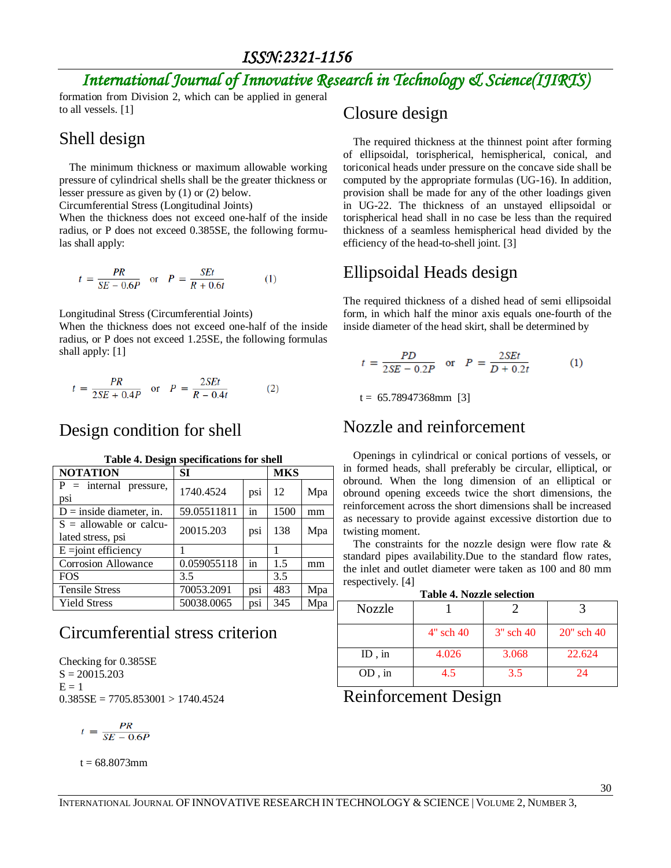## *International Journal of Innovative Research in Technology & Science(IJIRTS)*

formation from Division 2, which can be applied in general to all vessels. [1]

## Shell design

The minimum thickness or maximum allowable working pressure of cylindrical shells shall be the greater thickness or lesser pressure as given by (1) or (2) below.

Circumferential Stress (Longitudinal Joints)

When the thickness does not exceed one-half of the inside radius, or P does not exceed 0.385SE, the following formulas shall apply:

$$
t = \frac{PR}{SE - 0.6P} \quad \text{or} \quad P = \frac{SEt}{R + 0.6t} \tag{1}
$$

Longitudinal Stress (Circumferential Joints)

When the thickness does not exceed one-half of the inside radius, or P does not exceed 1.25SE, the following formulas shall apply: [1]

$$
t = \frac{PR}{2SE + 0.4P} \quad \text{or} \quad P = \frac{2SEt}{R - 0.4t} \tag{2}
$$

## Design condition for shell

| <b>NOTATION</b>                                | SI          | <b>MKS</b> |      |     |
|------------------------------------------------|-------------|------------|------|-----|
| $P =$ internal pressure,<br>psi                | 1740.4524   | psi        | 12   | Mpa |
| $D =$ inside diameter, in.                     | 59.05511811 | in         | 1500 | mm  |
| $S =$ allowable or calcu-<br>lated stress, psi | 20015.203   | psi        | 138  | Mpa |
| $E = joint efficiency$                         |             |            |      |     |
| Corrosion Allowance                            | 0.059055118 | in         | 1.5  | mm  |
| <b>FOS</b>                                     | 3.5         |            | 3.5  |     |
| <b>Tensile Stress</b>                          | 70053.2091  | psi        | 483  | Mpa |
| <b>Yield Stress</b>                            | 50038.0065  | psi        | 345  | Mpa |

#### **Table 4. Design specifications for shell**

## Circumferential stress criterion

Checking for 0.385SE  $S = 20015.203$  $E = 1$  $0.385SE = 7705.853001 > 1740.4524$ 

$$
t = \frac{PR}{SE - 0.6P}
$$

 $t = 68.8073$ mm

#### Closure design

The required thickness at the thinnest point after forming of ellipsoidal, torispherical, hemispherical, conical, and toriconical heads under pressure on the concave side shall be computed by the appropriate formulas (UG-16). In addition, provision shall be made for any of the other loadings given in UG-22. The thickness of an unstayed ellipsoidal or torispherical head shall in no case be less than the required thickness of a seamless hemispherical head divided by the efficiency of the head-to-shell joint. [3]

## Ellipsoidal Heads design

The required thickness of a dished head of semi ellipsoidal form, in which half the minor axis equals one-fourth of the inside diameter of the head skirt, shall be determined by

$$
t = \frac{PD}{2SE - 0.2P}
$$
 or  $P = \frac{2SEt}{D + 0.2t}$  (1)

 $t = 65.78947368$ mm [3]

#### Nozzle and reinforcement

Openings in cylindrical or conical portions of vessels, or in formed heads, shall preferably be circular, elliptical, or obround. When the long dimension of an elliptical or obround opening exceeds twice the short dimensions, the reinforcement across the short dimensions shall be increased as necessary to provide against excessive distortion due to twisting moment.

The constraints for the nozzle design were flow rate  $\&$ standard pipes availability.Due to the standard flow rates, the inlet and outlet diameter were taken as 100 and 80 mm respectively. [4]

**Table 4. Nozzle selection**

| TADIC T. INDEEIC SCIECHUIT |                |             |               |  |  |  |  |
|----------------------------|----------------|-------------|---------------|--|--|--|--|
| <b>Nozzle</b>              |                |             |               |  |  |  |  |
|                            | $4"$ sch $40'$ | $3"$ sch 40 | $20$ " sch 40 |  |  |  |  |
| ID, $in$                   | 4.026          | 3.068       | 22.624        |  |  |  |  |
| $OD \nvert in$             | 45             | 3.5         | 24            |  |  |  |  |

Reinforcement Design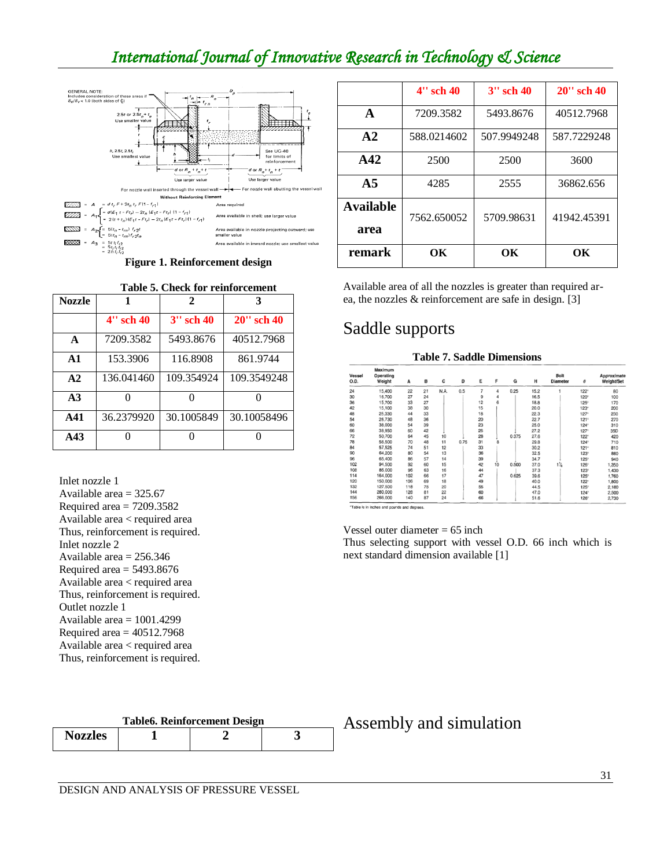## *International Journal of Innovative Research in Technology & Science*



**Figure 1. Reinforcement design**

|                | Table 5. Check for reinforcement |                |               |  |  |  |  |  |  |
|----------------|----------------------------------|----------------|---------------|--|--|--|--|--|--|
| <b>Nozzle</b>  |                                  | 2              |               |  |  |  |  |  |  |
|                | $4"$ sch $40$                    | $3''$ sch $40$ | $20''$ sch 40 |  |  |  |  |  |  |
| $\mathbf{A}$   | 7209.3582                        | 5493.8676      | 40512.7968    |  |  |  |  |  |  |
| $\mathbf{A}$ 1 | 153.3906                         | 116.8908       | 861.9744      |  |  |  |  |  |  |
| A2             | 136.041460                       | 109.354924     | 109.3549248   |  |  |  |  |  |  |
| A <sub>3</sub> |                                  |                |               |  |  |  |  |  |  |
| A41            | 36.2379920                       | 30.1005849     | 30.10058496   |  |  |  |  |  |  |
| A43            |                                  |                |               |  |  |  |  |  |  |

Inlet nozzle 1 Available area = 325.67 Required area = 7209.3582 Available area < required area Thus, reinforcement is required. Inlet nozzle 2 Available area  $= 256.346$ Required area  $=$  5493.8676 Available area < required area Thus, reinforcement is required. Outlet nozzle 1 Available area = 1001.4299 Required area  $= 40512.7968$ Available area < required area Thus, reinforcement is required.

|                          | $4"$ sch $40$ | $3''$ sch $40$ | $20''$ sch 40 |  |  |
|--------------------------|---------------|----------------|---------------|--|--|
| A                        | 7209.3582     | 5493.8676      | 40512.7968    |  |  |
| $\bf{A2}$                | 588.0214602   | 507.9949248    | 587.7229248   |  |  |
| A42                      | 2500          | 2500           | 3600          |  |  |
| A <sub>5</sub>           | 4285          | 2555           | 36862.656     |  |  |
| <b>Available</b><br>area | 7562.650052   | 5709.98631     | 41942.45391   |  |  |
| remark                   | OК            | OК             | OК            |  |  |

Available area of all the nozzles is greater than required area, the nozzles & reinforcement are safe in design. [3]

## Saddle supports

| <b>Table 7. Saddle Dimensions</b> |                                |     |    |      |      |    |    |       |      |                         |             |                           |
|-----------------------------------|--------------------------------|-----|----|------|------|----|----|-------|------|-------------------------|-------------|---------------------------|
| Vessel<br>O.D.                    | Maximum<br>Operating<br>Weight | A   | B  | c    | Ð    | E  | F  | G     | н    | Bolt<br><b>Diameter</b> | θ           | Approximate<br>Weight/Set |
| 24                                | 15,400                         | 22  | 21 | N.A. | 0.5  | 7  | 4  | 0.25  | 15.2 |                         | $122^\circ$ | 80                        |
| 30                                | 16,700                         | 27  | 24 |      |      | 9  | 4  |       | 16.5 |                         | 120°        | 100                       |
| 36                                | 15,700                         | 33  | 27 |      |      | 12 | 6  |       | 18.8 |                         | $125^\circ$ | 170                       |
| 42                                | 15,100                         | 38  | 30 |      |      | 15 |    |       | 20.0 |                         | $123^\circ$ | 200                       |
| 48                                | 25,330                         | 44  | 33 |      |      | 18 |    |       | 22.3 |                         | 127°        | 230                       |
| 54                                | 26,730                         | 48  | 36 |      |      | 20 |    |       | 22.7 |                         | $121^\circ$ | 270                       |
| 60                                | 38,000                         | 54  | 39 |      |      | 23 |    |       | 25.0 |                         | 124°        | 310                       |
| 66                                | 38,950                         | 60  | 42 |      |      | 26 |    |       | 27.2 |                         | $127^\circ$ | 35D                       |
| 72                                | 50,700                         | 64  | 45 | 10   |      | 28 |    | 0.375 | 27.6 |                         | $122^\circ$ | 420                       |
| 78                                | 56,500                         | 70  | 48 | 11   | 0.75 | 31 | 8  |       | 29.8 |                         | $124^\circ$ | 710                       |
| 84                                | 57,525                         | 74  | 51 | 12   |      | 33 |    |       | 30.2 |                         | $121^\circ$ | 810                       |
| 90                                | 64,200                         | 80  | 54 | 13   |      | 36 |    |       | 32.5 |                         | $123^\circ$ | 880                       |
| 96                                | 65,400                         | 86  | 57 | 14   |      | 39 |    |       | 34.7 |                         | 125°        | 940                       |
| 102                               | 94,500                         | 92  | 60 | 15   |      | 42 | 10 | 0.500 | 37.0 | $1\frac{1}{4}$          | 126°        | 1,350                     |
| 108                               | 85,000                         | 96  | 63 | 16   |      | 44 |    |       | 37.3 |                         | $123^\circ$ | 1,430                     |
| 114                               | 164,000                        | 102 | 66 | 17   |      | 47 |    | 0.625 | 39.6 |                         | $125^\circ$ | 1.760                     |
| 120                               | 150,000                        | 106 | 69 | 18   |      | 49 |    |       | 40.0 |                         | $122^\circ$ | 1,800                     |
| 132                               | 127,500                        | 118 | 75 | 20   |      | 55 |    |       | 44.5 |                         | 125°        | 2 180                     |

144<br>156 280,000<br>266,000 128<br>140 81<br>87 \*Table is in inches and pounds and degree

Vessel outer diameter  $= 65$  inch Thus selecting support with vessel O.D. 66 inch which is next standard dimension available [1]

60<br>66

 $\frac{22}{24}$ 

47.0<br>51.6

| <b>Table6. Reinforcement Design</b> |  |  |  |  |
|-------------------------------------|--|--|--|--|
| <b>Nozzles</b>                      |  |  |  |  |

Assembly and simulation

2,500<br>2,730

124°<br>126°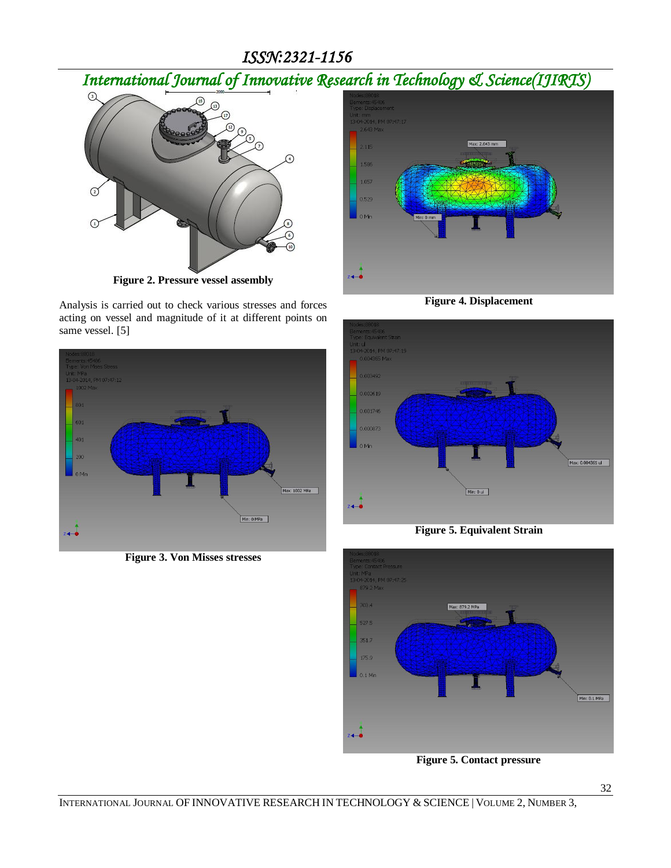#### *ISSN:2321-1156*

*International Journal of Innovative Research in Technology & Science(IJIRTS)*



**Figure 2. Pressure vessel assembly**

Analysis is carried out to check various stresses and forces acting on vessel and magnitude of it at different points on same vessel. [5]



**Figure 3. Von Misses stresses**



**Figure 4. Displacement**







**Figure 5. Contact pressure**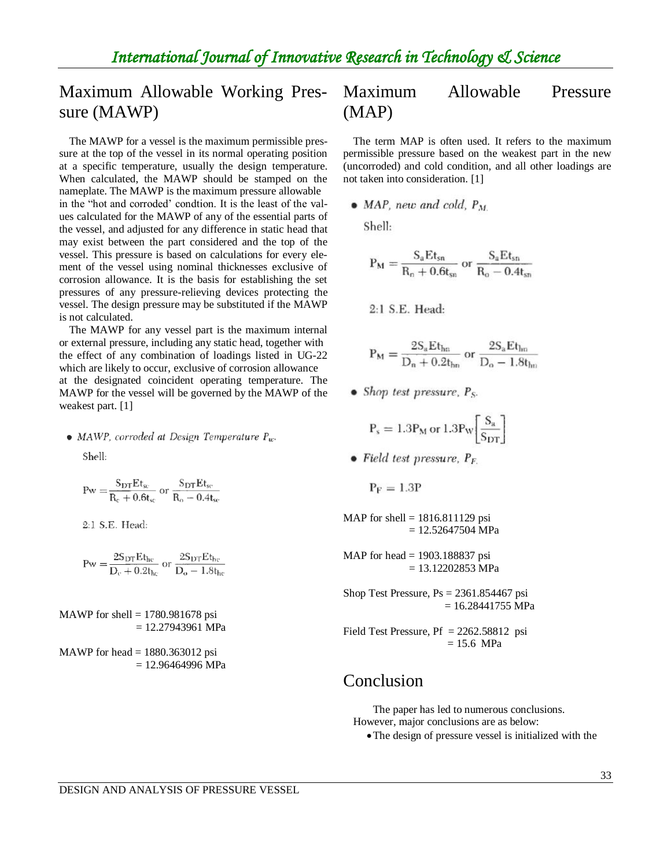## Maximum Allowable Working Pressure (MAWP)

The MAWP for a vessel is the maximum permissible pressure at the top of the vessel in its normal operating position at a specific temperature, usually the design temperature. When calculated, the MAWP should be stamped on the nameplate. The MAWP is the maximum pressure allowable in the "hot and corroded' condtion. It is the least of the values calculated for the MAWP of any of the essential parts of the vessel, and adjusted for any difference in static head that may exist between the part considered and the top of the vessel. This pressure is based on calculations for every element of the vessel using nominal thicknesses exclusive of corrosion allowance. It is the basis for establishing the set pressures of any pressure-relieving devices protecting the vessel. The design pressure may be substituted if the MAWP is not calculated.

The MAWP for any vessel part is the maximum internal or external pressure, including any static head, together with the effect of any combination of loadings listed in UG-22 which are likely to occur, exclusive of corrosion allowance at the designated coincident operating temperature. The MAWP for the vessel will be governed by the MAWP of the weakest part. [1]

• MAWP, corroded at Design Temperature  $P_w$ .

 $Shell$ 

$$
Pw = \frac{S_{DT}Et_{sc}}{R_c + 0.6t_{sc}} \text{ or } \frac{S_{DT}Et_{sc}}{R_o - 0.4t_{sc}}
$$

2:1 S.E. Head:

$$
Pw=\frac{2S_{DT}Et_{hc}}{D_c+0.2t_{hc}}\text{ or }\frac{2S_{DT}Et_{hc}}{D_o-1.8t_{hc}}
$$

MAWP for shell  $= 1780.981678$  psi = 12.27943961 MPa

MAWP for head  $= 1880.363012$  psi  $= 12.96464996$  MPa

## Maximum Allowable Pressure (MAP)

The term MAP is often used. It refers to the maximum permissible pressure based on the weakest part in the new (uncorroded) and cold condition, and all other loadings are not taken into consideration. [1]

 $\bullet$  MAP, new and cold,  $P_M$ 

Shell:

$$
P_M = \frac{S_a E t_{sn}}{R_n + 0.6 t_{sn}} \text{ or } \frac{S_a E t_{sn}}{R_o - 0.4 t_{sn}}
$$

2:1 S.E. Head:

$$
P_M = \frac{2S_a E t_{hn}}{D_n + 0.2t_{bn}}
$$
 or  $\frac{2S_a E t_{lm}}{D_o - 1.8t_{bn}}$ 

• Shop test pressure,  $P_S$ .

$$
P_s=1.3P_M\,or\,1.3P_W\!\!\left[\frac{S_a}{S_{DT}}\right]
$$

- Field test pressure,  $P_F$ 
	- $P_F = 1.3P$

MAP for shell =  $1816.811129$  psi  $= 12.52647504 \text{ MPa}$ 

MAP for head = 1903.188837 psi  $= 13.12202853$  MPa

Shop Test Pressure, Ps = 2361.854467 psi  $= 16.28441755$  MPa

Field Test Pressure,  $Pf = 2262.58812$  psi = 15.6 MPa

#### Conclusion

The paper has led to numerous conclusions. However, major conclusions are as below:

The design of pressure vessel is initialized with the